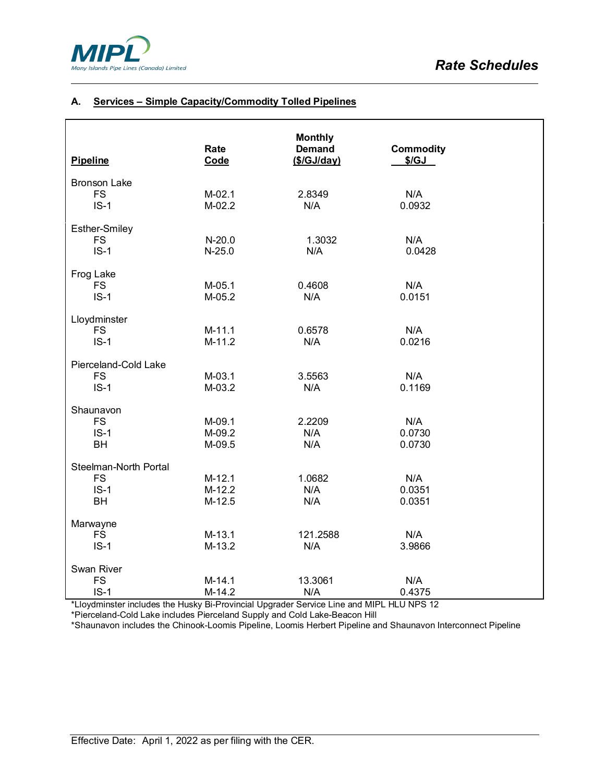

## **A. Services – Simple Capacity/Commodity Tolled Pipelines**

|                       |              | <b>Monthly</b>              |                           |  |
|-----------------------|--------------|-----------------------------|---------------------------|--|
| <b>Pipeline</b>       | Rate<br>Code | <b>Demand</b><br>(S/GJ/day) | <b>Commodity</b><br>\$/GJ |  |
| <b>Bronson Lake</b>   |              |                             |                           |  |
| <b>FS</b>             | $M-02.1$     | 2.8349                      | N/A                       |  |
| $IS-1$                | $M-02.2$     | N/A                         | 0.0932                    |  |
| Esther-Smiley         |              |                             |                           |  |
| <b>FS</b>             | $N-20.0$     | 1.3032                      | N/A                       |  |
| $IS-1$                | $N-25.0$     | N/A                         | 0.0428                    |  |
| Frog Lake             |              |                             |                           |  |
| <b>FS</b>             | $M-05.1$     | 0.4608                      | N/A                       |  |
| $IS-1$                | $M-05.2$     | N/A                         | 0.0151                    |  |
| Lloydminster          |              |                             |                           |  |
| <b>FS</b>             | $M-11.1$     | 0.6578                      | N/A                       |  |
| $IS-1$                | $M-11.2$     | N/A                         | 0.0216                    |  |
| Pierceland-Cold Lake  |              |                             |                           |  |
| <b>FS</b>             | M-03.1       | 3.5563                      | N/A                       |  |
| $IS-1$                | M-03.2       | N/A                         | 0.1169                    |  |
| Shaunavon             |              |                             |                           |  |
| <b>FS</b>             | M-09.1       | 2.2209                      | N/A                       |  |
| $IS-1$                | M-09.2       | N/A                         | 0.0730                    |  |
| <b>BH</b>             | M-09.5       | N/A                         | 0.0730                    |  |
| Steelman-North Portal |              |                             |                           |  |
| <b>FS</b>             | $M-12.1$     | 1.0682                      | N/A                       |  |
| $IS-1$                | $M-12.2$     | N/A                         | 0.0351                    |  |
| <b>BH</b>             | $M-12.5$     | N/A                         | 0.0351                    |  |
| Marwayne              |              |                             |                           |  |
| <b>FS</b>             | $M-13.1$     | 121.2588                    | N/A                       |  |
| $IS-1$                | $M-13.2$     | N/A                         | 3.9866                    |  |
| Swan River            |              |                             |                           |  |
| <b>FS</b>             | $M-14.1$     | 13.3061                     | N/A                       |  |
| $IS-1$                | $M-14.2$     | N/A                         | 0.4375                    |  |

\*Lloydminster includes the Husky Bi-Provincial Upgrader Service Line and MIPL HLU NPS 12

\*Pierceland-Cold Lake includes Pierceland Supply and Cold Lake-Beacon Hill

\*Shaunavon includes the Chinook-Loomis Pipeline, Loomis Herbert Pipeline and Shaunavon Interconnect Pipeline